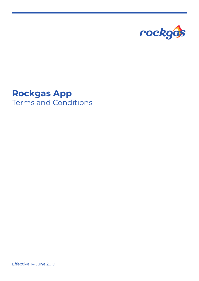

## **Rockgas App** Terms and Conditions

Effective 14 June 2019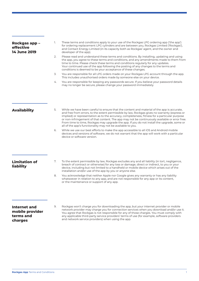| Rockgas app -<br>effective<br><b>14 June 2019</b> | 1. | These terms and conditions apply to your use of the Rockgas LPG ordering app ('the app')<br>for ordering replacement LPG cylinders and are between you, Rockgas Limited ('Rockgas'),<br>and Contact Energy Limited (in its capacity both as Rockgas' agent, and the owner and<br>developer of the app).                                                                                                                       |
|---------------------------------------------------|----|-------------------------------------------------------------------------------------------------------------------------------------------------------------------------------------------------------------------------------------------------------------------------------------------------------------------------------------------------------------------------------------------------------------------------------|
|                                                   | 2. | Please read and understand these terms and conditions. By installing, updating and using<br>the app, you agree to these terms and conditions, and any amendments made to them from<br>time to time. Please check these terms and conditions regularly for any updates.<br>Your continued use of the app following the posting of any changes to the terms and<br>conditions is deemed to be your acceptance of these changes. |
|                                                   | 3. | You are responsible for all LPG orders made on your Rockgas LPG account through the app.<br>This includes unauthorised orders made by someone else on your device.                                                                                                                                                                                                                                                            |
|                                                   | 4. | You are responsible for keeping any passwords secure. If you believe your password details<br>may no longer be secure, please change your password immediately.                                                                                                                                                                                                                                                               |
| <b>Availability</b>                               | 5. | While we have been careful to ensure that the content and material of the app is accurate.<br>and free from errors, to the extent permissible by law, Rockgas gives no warranty (express or                                                                                                                                                                                                                                   |
|                                                   |    | implied) or representation as to the accuracy, completeness, fitness for a particular purpose<br>or non-infringement of that content. The app may not be continuously available or error free.<br>From time to time, Rockgas may upgrade the app. If you do not install the upgrade, some or<br>all of the app's functionality may not be available to you.                                                                   |
|                                                   | 6. | While we use our best efforts to make the app accessible to all iOS and Android mobile<br>devices and versions of software, we do not warrant that the app will work with a particular<br>device or software version.                                                                                                                                                                                                         |
|                                                   |    |                                                                                                                                                                                                                                                                                                                                                                                                                               |
| <b>Limitation of</b><br>liability                 | 7. | To the extent permissible by law, Rockgas excludes any and all liability (in tort, negligence,<br>breach of contract or otherwise) for any loss or damage, direct or indirect, to you or your<br>device, including but not limited to a handheld or mobile device which arises out of the<br>installation and/or use of the app by you or anyone else.                                                                        |
|                                                   | 8. | You acknowledge that neither Apple nor Google gives any warranty or has any liability<br>whatsoever in relation to any app, and are not responsible for any app or its content,<br>or the maintenance or support of any app.                                                                                                                                                                                                  |
| Internet and                                      | 9. | Rockgas won't charge you for downloading the app, but your internet provider or mobile                                                                                                                                                                                                                                                                                                                                        |
| mobile provider<br>terms and<br>charges           |    | network provider may charge you for connection services when you download and/or use it.<br>You agree that Rockgas is not responsible for any of those charges. You must comply with<br>any applicable third-party service providers' terms of use (for example, software providers<br>and network service providers) when using the app.                                                                                     |
|                                                   |    |                                                                                                                                                                                                                                                                                                                                                                                                                               |